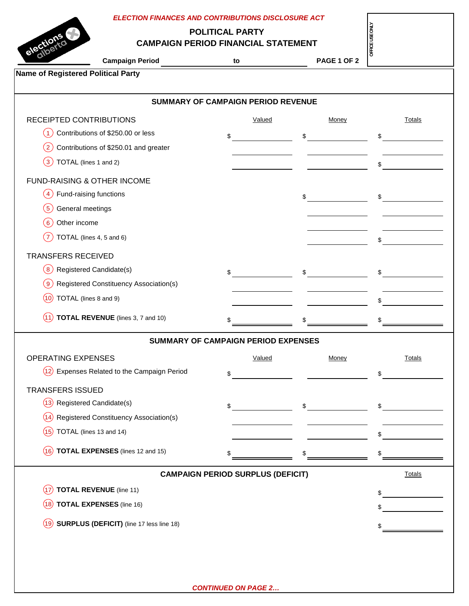| <b>ELECTION FINANCES AND CONTRIBUTIONS DISCLOSURE ACT</b>  |                                            |                    |               |  |  |  |
|------------------------------------------------------------|--------------------------------------------|--------------------|---------------|--|--|--|
|                                                            | <b>POLITICAL PARTY</b>                     |                    |               |  |  |  |
| elections<br><b>CAMPAIGN PERIOD FINANCIAL STATEMENT</b>    | OFFICE USE ONLY                            |                    |               |  |  |  |
| <b>Campaign Period</b>                                     | to                                         | <b>PAGE 1 OF 2</b> |               |  |  |  |
| <b>Name of Registered Political Party</b>                  |                                            |                    |               |  |  |  |
|                                                            |                                            |                    |               |  |  |  |
| <b>SUMMARY OF CAMPAIGN PERIOD REVENUE</b>                  |                                            |                    |               |  |  |  |
| RECEIPTED CONTRIBUTIONS                                    | Valued                                     | Money              | Totals        |  |  |  |
| Contributions of \$250.00 or less<br>$\left(1\right)$      | \$                                         | \$                 | \$            |  |  |  |
| Contributions of \$250.01 and greater<br>$\left( 2\right)$ |                                            |                    |               |  |  |  |
| TOTAL (lines 1 and 2)<br>$\left(3\right)$                  |                                            |                    | \$            |  |  |  |
| <b>FUND-RAISING &amp; OTHER INCOME</b>                     |                                            |                    |               |  |  |  |
| Fund-raising functions<br>$\overline{4}$                   |                                            | $\sim$             | $\sim$        |  |  |  |
| General meetings<br>$5^{\circ}$                            |                                            |                    |               |  |  |  |
| Other income<br>(6)                                        |                                            |                    |               |  |  |  |
| TOTAL (lines 4, 5 and 6)<br>$\frac{7}{2}$                  |                                            |                    |               |  |  |  |
|                                                            |                                            |                    | \$            |  |  |  |
| <b>TRANSFERS RECEIVED</b>                                  |                                            |                    |               |  |  |  |
| Registered Candidate(s)<br>(8)                             | $\sim$                                     | $\mathfrak{S}$     | $\sim$        |  |  |  |
| Registered Constituency Association(s)<br>〔9〕              |                                            |                    |               |  |  |  |
| TOTAL (lines 8 and 9)<br>(10)                              |                                            |                    | \$            |  |  |  |
| <b>TOTAL REVENUE</b> (lines 3, 7 and 10)<br>(11)           |                                            |                    |               |  |  |  |
|                                                            |                                            |                    |               |  |  |  |
|                                                            | <b>SUMMARY OF CAMPAIGN PERIOD EXPENSES</b> |                    |               |  |  |  |
| <b>OPERATING EXPENSES</b>                                  | Valued                                     | Money              | <b>Totals</b> |  |  |  |
| $(12)$ Expenses Related to the Campaign Period             | \$                                         |                    | \$            |  |  |  |
| <b>TRANSFERS ISSUED</b>                                    |                                            |                    |               |  |  |  |
|                                                            |                                            |                    |               |  |  |  |
| (13) Registered Candidate(s)                               |                                            |                    |               |  |  |  |
| <b>Registered Constituency Association(s)</b><br>(14)      |                                            | $\mathfrak s$      | $\sim$        |  |  |  |
| TOTAL (lines 13 and 14)<br>(15)                            |                                            |                    |               |  |  |  |
|                                                            |                                            |                    | \$            |  |  |  |
| $(16)$ TOTAL EXPENSES (lines 12 and 15)                    | \$                                         |                    | \$            |  |  |  |
|                                                            | <b>CAMPAIGN PERIOD SURPLUS (DEFICIT)</b>   |                    | <b>Totals</b> |  |  |  |
| <b>TOTAL REVENUE</b> (line 11)<br>(17)                     |                                            |                    |               |  |  |  |
| $(18)$ TOTAL EXPENSES (line 16)                            |                                            |                    | \$            |  |  |  |
| $(19)$ SURPLUS (DEFICIT) (line 17 less line 18)            |                                            |                    |               |  |  |  |